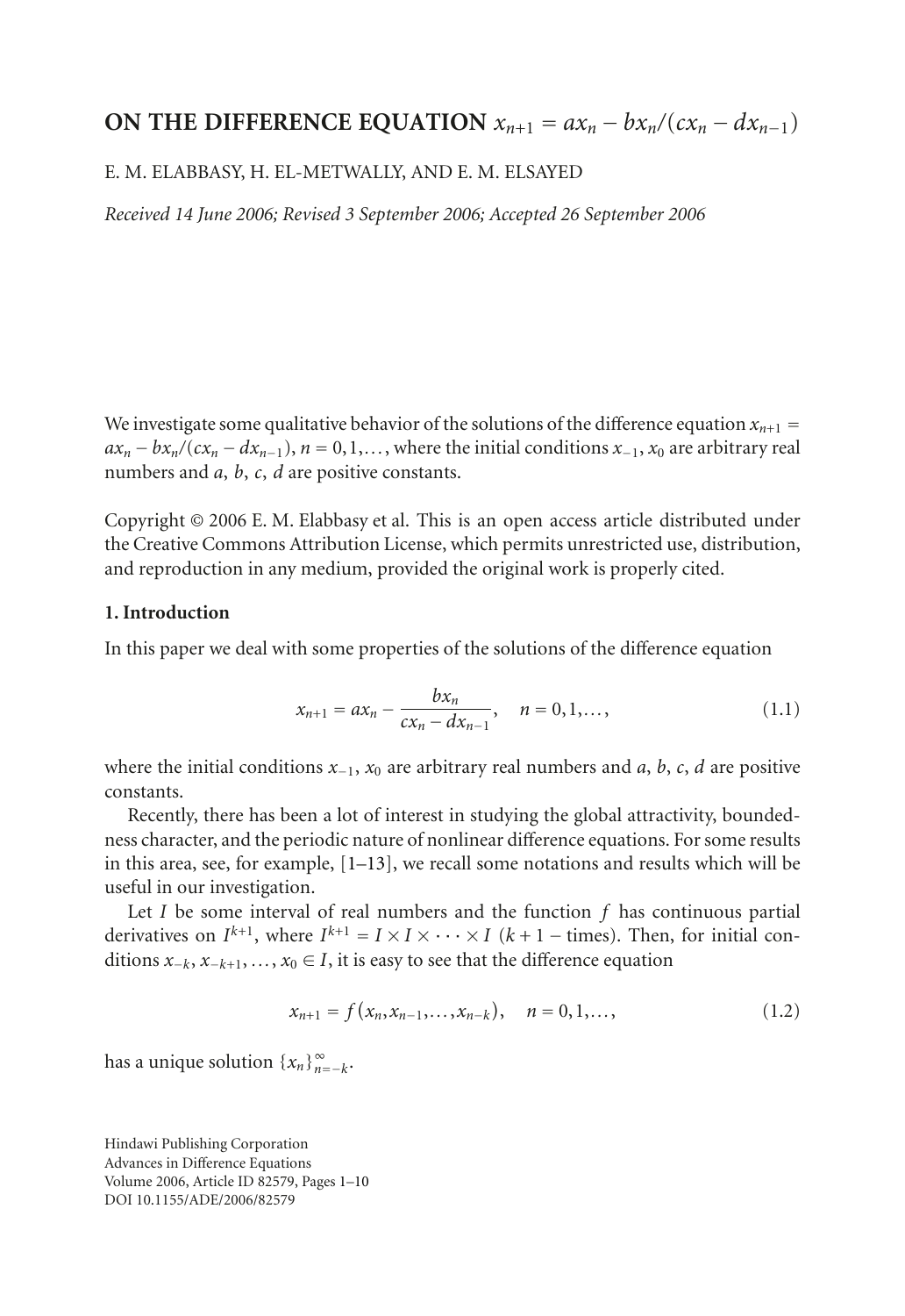# **ON THE DIFFERENCE EQUATION**  $x_{n+1} = ax_n - bx_n/(cx_n - dx_{n-1})$

#### E. M. ELABBASY, H. EL-METWALLY, AND E. M. ELSAYED

*Received 14 June 2006; Revised 3 September 2006; Accepted 26 September 2006*

We investigate some qualitative behavior of the solutions of the difference equation  $x_{n+1} =$  $ax_n - bx_n/(cx_n - dx_{n-1}), n = 0, 1, \ldots$ , where the initial conditions  $x_{-1}$ ,  $x_0$  are arbitrary real numbers and *a*, *b*, *c*, *d* are positive constants.

Copyright © 2006 E. M. Elabbasy et al. This is an open access article distributed under the Creative Commons Attribution License, which permits unrestricted use, distribution, and reproduction in any medium, provided the original work is properly cited.

# **1. Introduction**

In this paper we deal with some properties of the solutions of the difference equation

<span id="page-0-1"></span>
$$
x_{n+1} = ax_n - \frac{bx_n}{cx_n - dx_{n-1}}, \quad n = 0, 1, \dots,
$$
 (1.1)

where the initial conditions *<sup>x</sup>*−1, *<sup>x</sup>*<sup>0</sup> are arbitrary real numbers and *<sup>a</sup>*, *<sup>b</sup>*, *<sup>c</sup>*, *<sup>d</sup>* are positive constants.

Recently, there has been a lot of interest in studying the global attractivity, boundedness character, and the periodic nature of nonlinear difference equations. For some results in this area, see, for example,  $[1-13]$  $[1-13]$ , we recall some notations and results which will be useful in our investigation.

Let *I* be some interval of real numbers and the function *f* has continuous partial derivatives on  $I^{k+1}$ , where  $I^{k+1} = I \times I \times \cdots \times I$  ( $k+1$  – times). Then, for initial conditions *<sup>x</sup>*−*k*, *<sup>x</sup>*−*<sup>k</sup>*+1, *...*, *<sup>x</sup>*<sup>0</sup> <sup>∈</sup> *<sup>I</sup>*, it is easy to see that the difference equation

<span id="page-0-0"></span>
$$
x_{n+1} = f(x_n, x_{n-1}, \dots, x_{n-k}), \quad n = 0, 1, \dots,
$$
 (1.2)

has a unique solution  $\{x_n\}_{n=-k}^{\infty}$ .

Hindawi Publishing Corporation Advances in Difference Equations Volume 2006, Article ID 82579, Pages 1[–10](#page-8-1) DOI 10.1155/ADE/2006/82579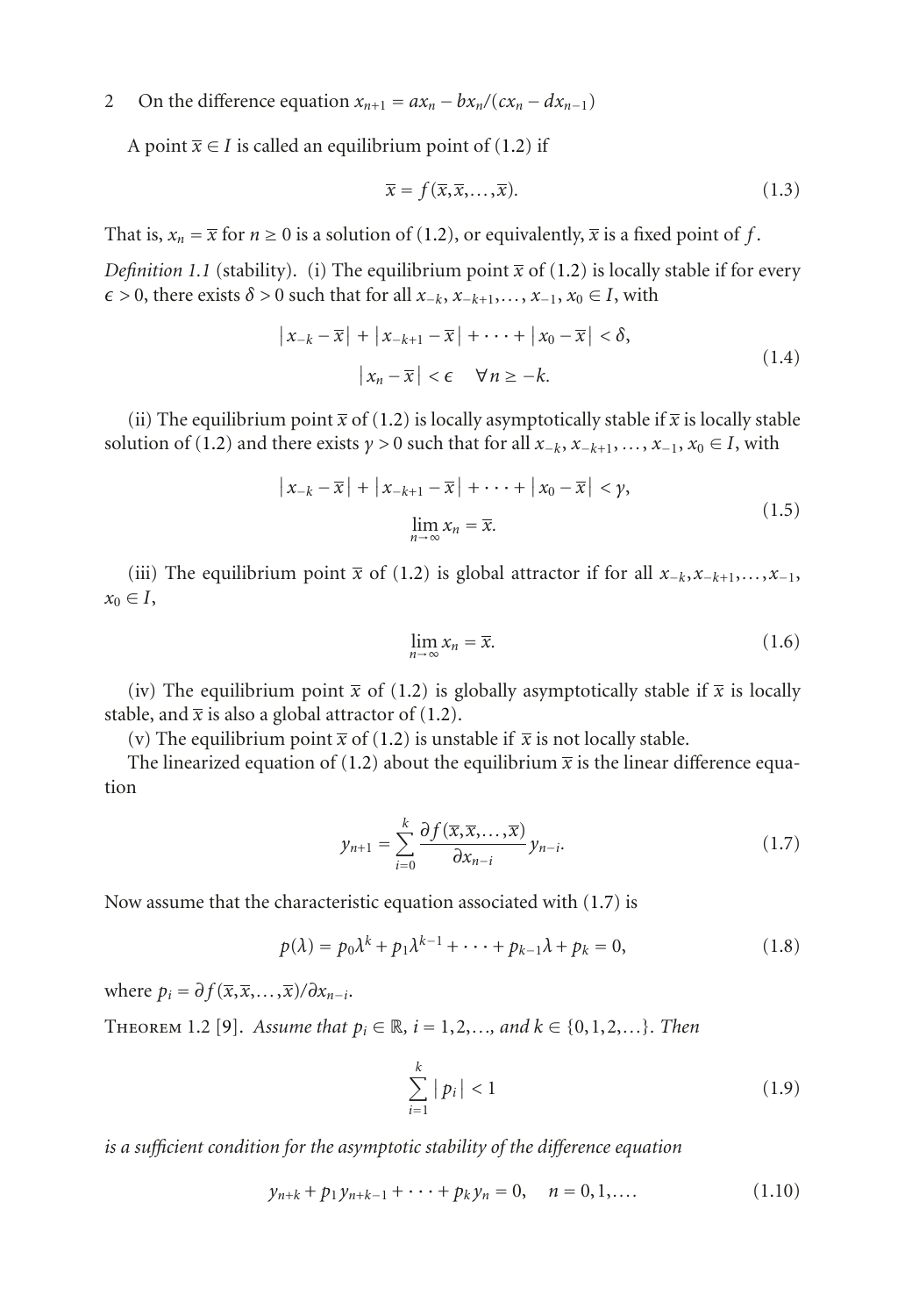A point  $\bar{x} \in I$  is called an equilibrium point of [\(1.2\)](#page-0-0) if

$$
\overline{x} = f(\overline{x}, \overline{x}, \dots, \overline{x}).
$$
\n(1.3)

That is,  $x_n = \overline{x}$  for  $n \ge 0$  is a solution of [\(1.2\)](#page-0-0), or equivalently,  $\overline{x}$  is a fixed point of f.

*Definition 1.1* (stability). (i) The equilibrium point  $\bar{x}$  of [\(1.2\)](#page-0-0) is locally stable if for every  $\epsilon$  > 0, there exists  $\delta$  > 0 such that for all *x*−*k*, *x*−*k*+1,..., *x*−1, *x*<sub>0</sub> ∈ *I*, with

$$
\left| x_{-k} - \overline{x} \right| + \left| x_{-k+1} - \overline{x} \right| + \dots + \left| x_0 - \overline{x} \right| < \delta,
$$
\n
$$
\left| x_n - \overline{x} \right| < \epsilon \quad \forall n \ge -k.
$$
\n
$$
(1.4)
$$

(ii) The equilibrium point  $\bar{x}$  of [\(1.2\)](#page-0-0) is locally asymptotically stable if  $\bar{x}$  is locally stable solution of [\(1.2\)](#page-0-0) and there exists  $\gamma > 0$  such that for all  $x_{-k}$ ,  $x_{-k+1}$ ,  $\dots$ ,  $x_{-1}$ ,  $x_0 \in I$ , with

$$
\left| x_{-k} - \overline{x} \right| + \left| x_{-k+1} - \overline{x} \right| + \dots + \left| x_0 - \overline{x} \right| < \gamma,
$$
\n
$$
\lim_{n \to \infty} x_n = \overline{x}.
$$
\n
$$
(1.5)
$$

(iii) The equilibrium point  $\bar{x}$  of [\(1.2\)](#page-0-0) is global attractor if for all  $x_{-k}$ , $x_{-k+1}$ ,..., $x_{-1}$ ,  $x_0 \in I$ ,

<span id="page-1-0"></span>
$$
\lim_{n \to \infty} x_n = \overline{x}.\tag{1.6}
$$

(iv) The equilibrium point  $\bar{x}$  of [\(1.2\)](#page-0-0) is globally asymptotically stable if  $\bar{x}$  is locally stable, and  $\bar{x}$  is also a global attractor of [\(1.2\)](#page-0-0).

(v) The equilibrium point  $\bar{x}$  of [\(1.2\)](#page-0-0) is unstable if  $\bar{x}$  is not locally stable.

The linearized equation of [\(1.2\)](#page-0-0) about the equilibrium  $\bar{x}$  is the linear difference equation

$$
y_{n+1} = \sum_{i=0}^{k} \frac{\partial f(\overline{x}, \overline{x}, \dots, \overline{x})}{\partial x_{n-i}} y_{n-i}.
$$
 (1.7)

Now assume that the characteristic equation associated with [\(1.7\)](#page-1-0) is

$$
p(\lambda) = p_0 \lambda^k + p_1 \lambda^{k-1} + \dots + p_{k-1} \lambda + p_k = 0,
$$
 (1.8)

<span id="page-1-3"></span>where  $p_i = \partial f(\overline{x}, \overline{x}, \dots, \overline{x})/\partial x_{n-i}$ .

THEOREM 1.2 [\[9\]](#page-8-2). *Assume that*  $p_i \in \mathbb{R}$ ,  $i = 1, 2, ...,$  and  $k \in \{0, 1, 2, ...\}$ *. Then* 

<span id="page-1-2"></span><span id="page-1-1"></span>
$$
\sum_{i=1}^{k} |p_i| < 1 \tag{1.9}
$$

*is a sufficient condition for the asymptotic stability of the difference equation*

$$
y_{n+k} + p_1 y_{n+k-1} + \dots + p_k y_n = 0, \quad n = 0, 1, \dots
$$
 (1.10)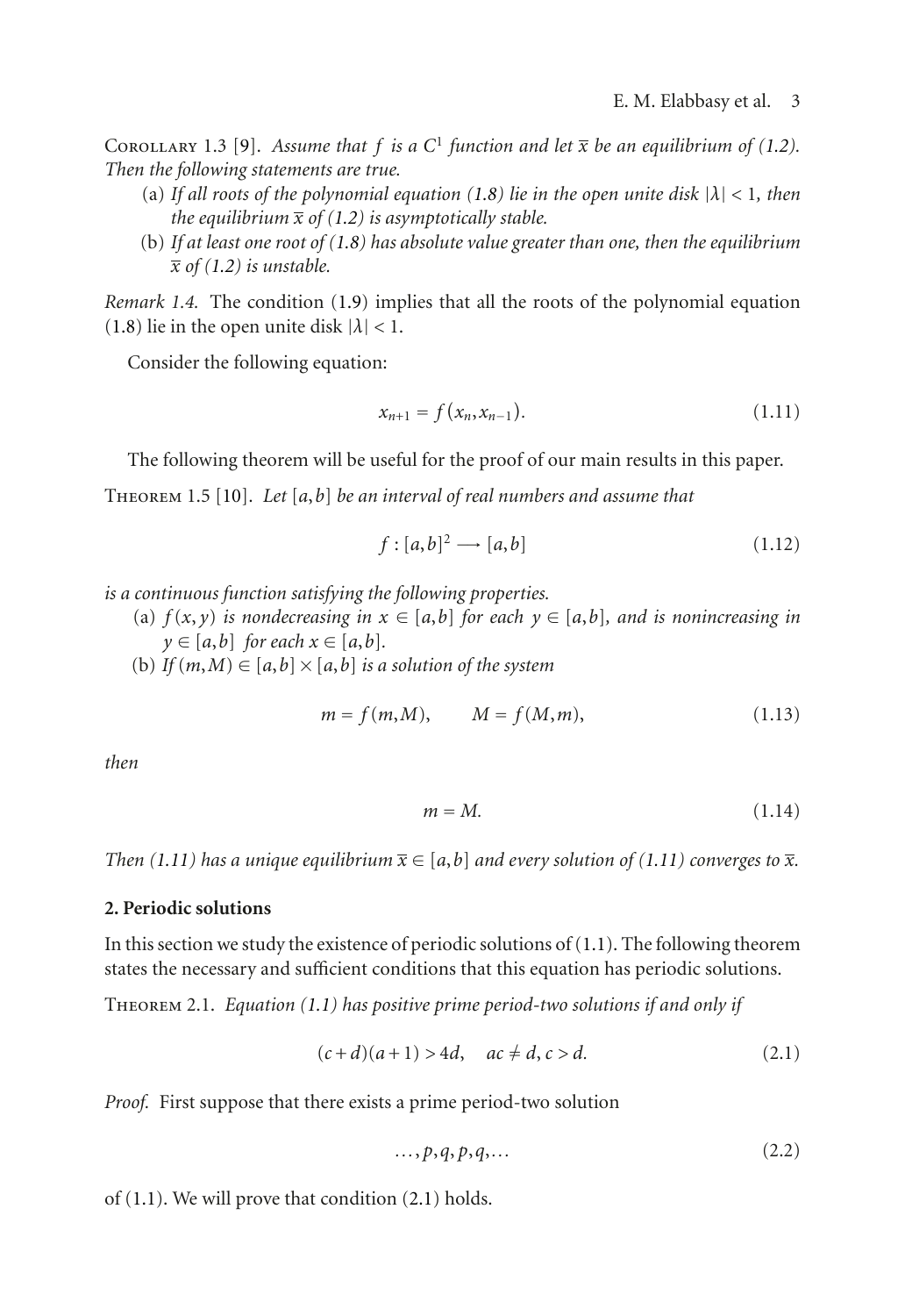COROLLARY 1.3 [\[9\]](#page-8-2). Assume that f is a  $C^1$  function and let  $\overline{x}$  be an equilibrium of [\(1.2\)](#page-0-0). *Then the following statements are true.*

- (a) *If all roots of the polynomial equation [\(1.8\)](#page-1-1) lie in the open unite disk* <sup>|</sup>*λ*<sup>|</sup> *<sup>&</sup>lt;* <sup>1</sup>*, then the equilibrium*  $\bar{x}$  *of* [\(1.2\)](#page-0-0) *is asymptotically stable.*
- (b) *If at least one root of [\(1.8\)](#page-1-1) has absolute value greater than one, then the equilibrium*  $\bar{x}$  *of* [\(1.2\)](#page-0-0) *is unstable.*

*Remark 1.4.* The condition [\(1.9\)](#page-1-2) implies that all the roots of the polynomial equation [\(1.8\)](#page-1-1) lie in the open unite disk  $|\lambda|$  < 1.

Consider the following equation:

<span id="page-2-0"></span>
$$
x_{n+1} = f(x_n, x_{n-1}). \tag{1.11}
$$

The following theorem will be useful for the proof of our main results in this paper.

<span id="page-2-2"></span>Theorem 1.5 [\[10\]](#page-8-3). *Let* [*a*,*b*] *be an interval of real numbers and assume that*

$$
f: [a,b]^2 \longrightarrow [a,b] \tag{1.12}
$$

*is a continuous function satisfying the following properties.*

- (a)  $f(x, y)$  *is nondecreasing in*  $x \in [a, b]$  *for each*  $y \in [a, b]$ *, and is nonincreasing in*  $y \in [a, b]$  *for each*  $x \in [a, b]$ *.*
- (b) *If*  $(m, M) \in [a, b] \times [a, b]$  *is a solution of the system*

$$
m = f(m,M), \qquad M = f(M,m),
$$
 (1.13)

*then*

$$
m = M.\t(1.14)
$$

*Then* [\(1.11\)](#page-2-0) has a unique equilibrium  $\overline{x} \in [a,b]$  *and every solution of* (1.11) *converges to*  $\overline{x}$ *.* 

## **2. Periodic solutions**

In this section we study the existence of periodic solutions of [\(1.1\)](#page-0-1). The following theorem states the necessary and sufficient conditions that this equation has periodic solutions.

Theorem 2.1. *Equation [\(1.1\)](#page-0-1) has positive prime period-two solutions if and only if*

$$
(c+d)(a+1) > 4d, \quad ac \neq d, c > d.
$$
 (2.1)

*Proof.* First suppose that there exists a prime period-two solution

<span id="page-2-1"></span>
$$
\ldots, p, q, p, q, \ldots \tag{2.2}
$$

of [\(1.1\)](#page-0-1). We will prove that condition [\(2.1\)](#page-2-1) holds.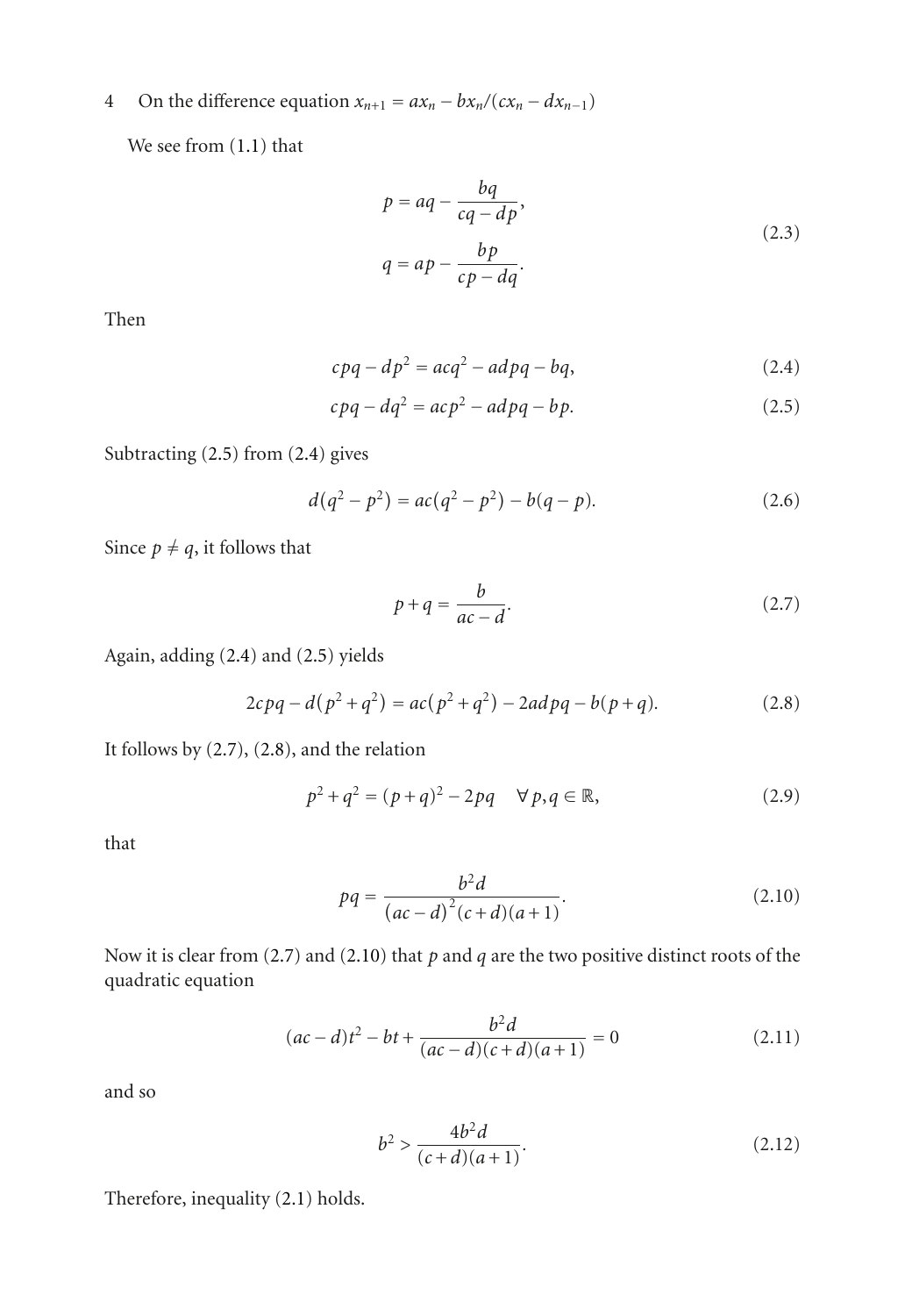We see from [\(1.1\)](#page-0-1) that

<span id="page-3-1"></span>
$$
p = aq - \frac{bq}{cq - dp},
$$
  

$$
q = ap - \frac{bp}{cp - dq}.
$$
 (2.3)

Then

<span id="page-3-0"></span>
$$
cpq - dp2 = acq2 - adpq - bq,
$$
\n(2.4)

$$
cpq - dq2 = acp2 - adpq - bp.
$$
 (2.5)

Subtracting [\(2.5\)](#page-3-0) from [\(2.4\)](#page-3-1) gives

$$
d(q^2 - p^2) = ac(q^2 - p^2) - b(q - p).
$$
 (2.6)

Since  $p \neq q$ , it follows that

<span id="page-3-3"></span><span id="page-3-2"></span>
$$
p + q = \frac{b}{ac - d}.\tag{2.7}
$$

Again, adding [\(2.4\)](#page-3-1) and [\(2.5\)](#page-3-0) yields

$$
2cpq - d(p^2 + q^2) = ac(p^2 + q^2) - 2adpq - b(p + q).
$$
 (2.8)

It follows by [\(2.7\)](#page-3-2), [\(2.8\)](#page-3-3), and the relation

$$
p^2 + q^2 = (p + q)^2 - 2pq \quad \forall p, q \in \mathbb{R},
$$
 (2.9)

that

<span id="page-3-4"></span>
$$
pq = \frac{b^2d}{(ac-d)^2(c+d)(a+1)}.
$$
\n(2.10)

Now it is clear from [\(2.7\)](#page-3-2) and [\(2.10\)](#page-3-4) that *p* and *q* are the two positive distinct roots of the quadratic equation

$$
(ac-d)t2 - bt + \frac{b2d}{(ac-d)(c+d)(a+1)} = 0
$$
 (2.11)

and so

<span id="page-3-5"></span>
$$
b^2 > \frac{4b^2d}{(c+d)(a+1)}.\tag{2.12}
$$

Therefore, inequality [\(2.1\)](#page-2-1) holds.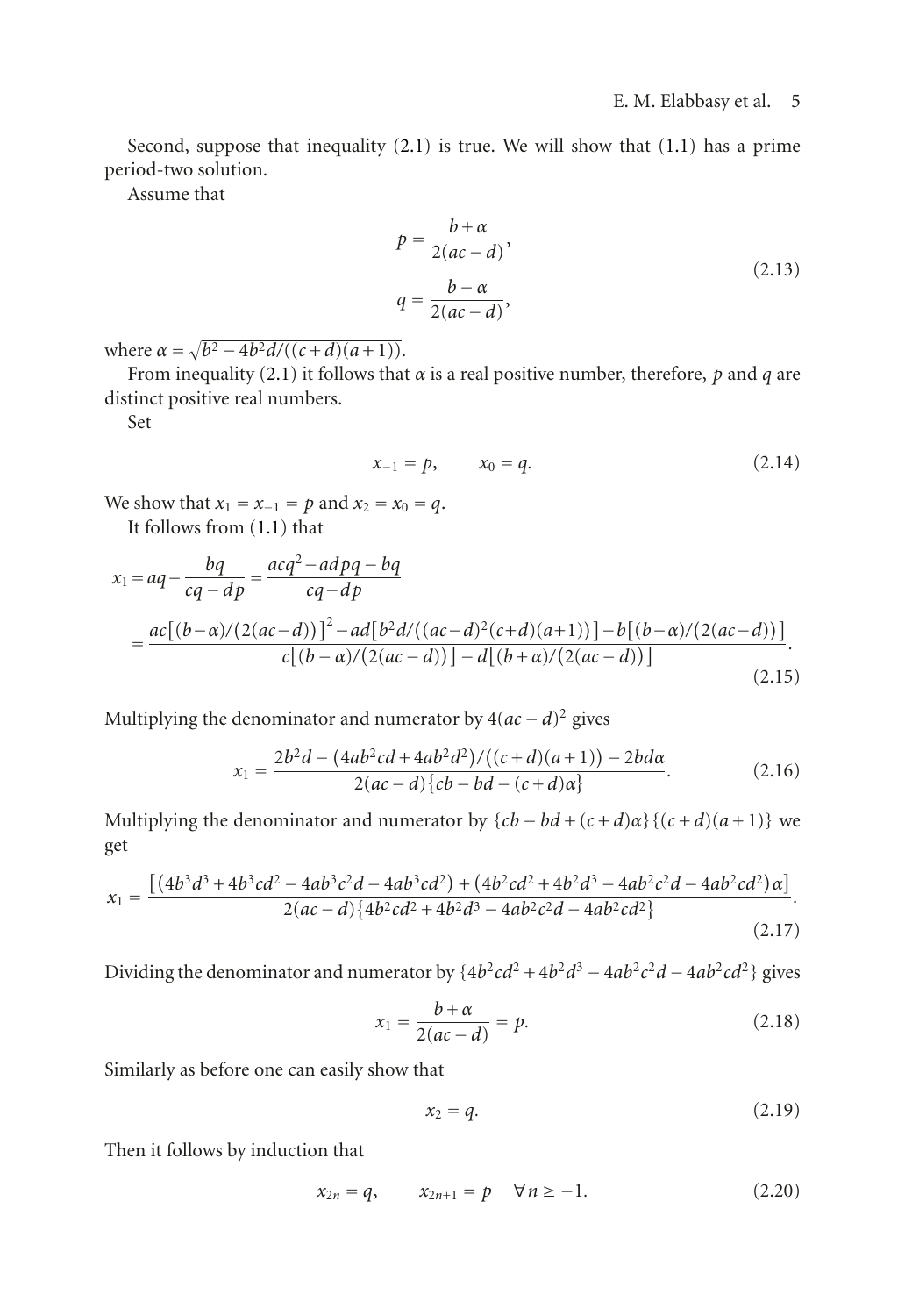Second, suppose that inequality [\(2.1\)](#page-2-1) is true. We will show that [\(1.1\)](#page-0-1) has a prime period-two solution.

Assume that

$$
p = \frac{b + \alpha}{2(ac - d)},
$$
  
\n
$$
q = \frac{b - \alpha}{2(ac - d)},
$$
\n(2.13)

where  $\alpha = \sqrt{b^2 - 4b^2d/((c+d)(a+1))}$ .

From inequality [\(2.1\)](#page-2-1) it follows that *α* is a real positive number, therefore, *p* and *q* are distinct positive real numbers.

Set

$$
x_{-1} = p, \qquad x_0 = q. \tag{2.14}
$$

We show that  $x_1 = x_{-1} = p$  and  $x_2 = x_0 = q$ .

It follows from [\(1.1\)](#page-0-1) that

$$
x_1 = aq - \frac{bq}{cq - dp} = \frac{acq^2 - adpq - bq}{cq - dp}
$$
  
= 
$$
\frac{ac[(b-\alpha)/(2(ac-d))]^2 - ad[b^2d/((ac-d)^2(c+d)(a+1))] - b[(b-\alpha)/(2(ac-d))]}{c[(b-\alpha)/(2(ac-d))] - d[(b+\alpha)/(2(ac-d))]}
$$
(2.15)

Multiplying the denominator and numerator by  $4(ac - d)^2$  gives

$$
x_1 = \frac{2b^2d - (4ab^2cd + 4ab^2d^2)/((c+d)(a+1)) - 2bd\alpha}{2(ac - d)\{cb - bd - (c+d)\alpha\}}.\tag{2.16}
$$

Multiplying the denominator and numerator by  ${cb - bd + (c + d)\alpha}{(c + d)(a + 1)}$  we get

$$
x_1 = \frac{\left[ (4b^3d^3 + 4b^3cd^2 - 4ab^3c^2d - 4ab^3cd^2) + (4b^2cd^2 + 4b^2d^3 - 4ab^2c^2d - 4ab^2cd^2)\alpha \right]}{2(ac - d)\left\{ 4b^2cd^2 + 4b^2d^3 - 4ab^2c^2d - 4ab^2cd^2 \right\}}.
$$
\n(2.17)

Dividing the denominator and numerator by  ${4b^2cd^2 + 4b^2d^3 - 4ab^2c^2d - 4ab^2cd^2}$  gives

$$
x_1 = \frac{b+\alpha}{2(ac-d)} = p. \tag{2.18}
$$

Similarly as before one can easily show that

$$
x_2 = q.\tag{2.19}
$$

Then it follows by induction that

$$
x_{2n} = q, \qquad x_{2n+1} = p \quad \forall n \ge -1. \tag{2.20}
$$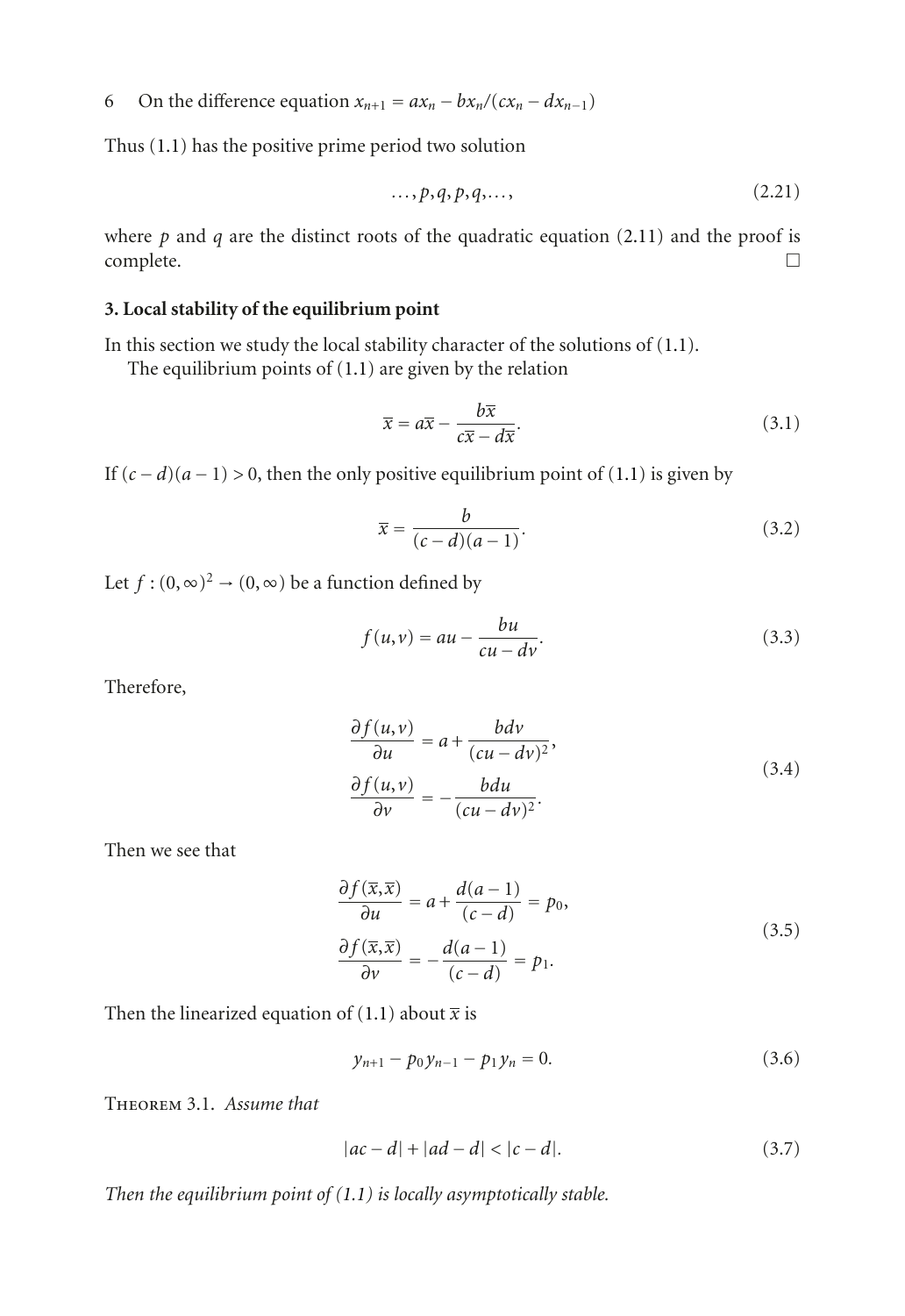Thus [\(1.1\)](#page-0-1) has the positive prime period two solution

$$
\ldots, p, q, p, q, \ldots,\tag{2.21}
$$

where  $p$  and  $q$  are the distinct roots of the quadratic equation [\(2.11\)](#page-3-5) and the proof is  $\Box$ complete.  $\Box$ 

## **3. Local stability of the equilibrium point**

In this section we study the local stability character of the solutions of [\(1.1\)](#page-0-1).

The equilibrium points of  $(1.1)$  are given by the relation

$$
\overline{x} = a\overline{x} - \frac{b\overline{x}}{c\overline{x} - d\overline{x}}.\tag{3.1}
$$

If  $(c - d)(a - 1) > 0$ , then the only positive equilibrium point of [\(1.1\)](#page-0-1) is given by

<span id="page-5-1"></span>
$$
\overline{x} = \frac{b}{(c-d)(a-1)}.\tag{3.2}
$$

Let  $f : (0, \infty)^2 \to (0, \infty)$  be a function defined by

$$
f(u,v) = au - \frac{bu}{cu - dv}.\tag{3.3}
$$

Therefore,

$$
\frac{\partial f(u,v)}{\partial u} = a + \frac{bdv}{(cu - dv)^2},
$$
  

$$
\frac{\partial f(u,v)}{\partial v} = -\frac{bdu}{(cu - dv)^2}.
$$
 (3.4)

Then we see that

$$
\frac{\partial f(\overline{x}, \overline{x})}{\partial u} = a + \frac{d(a-1)}{(c-d)} = p_0,
$$
  

$$
\frac{\partial f(\overline{x}, \overline{x})}{\partial v} = -\frac{d(a-1)}{(c-d)} = p_1.
$$
 (3.5)

Then the linearized equation of [\(1.1\)](#page-0-1) about  $\bar{x}$  is

<span id="page-5-0"></span>
$$
y_{n+1} - p_0 y_{n-1} - p_1 y_n = 0.
$$
 (3.6)

Theorem 3.1. *Assume that*

$$
|ac - d| + |ad - d| < |c - d|.\tag{3.7}
$$

*Then the equilibrium point of [\(1.1\)](#page-0-1) is locally asymptotically stable.*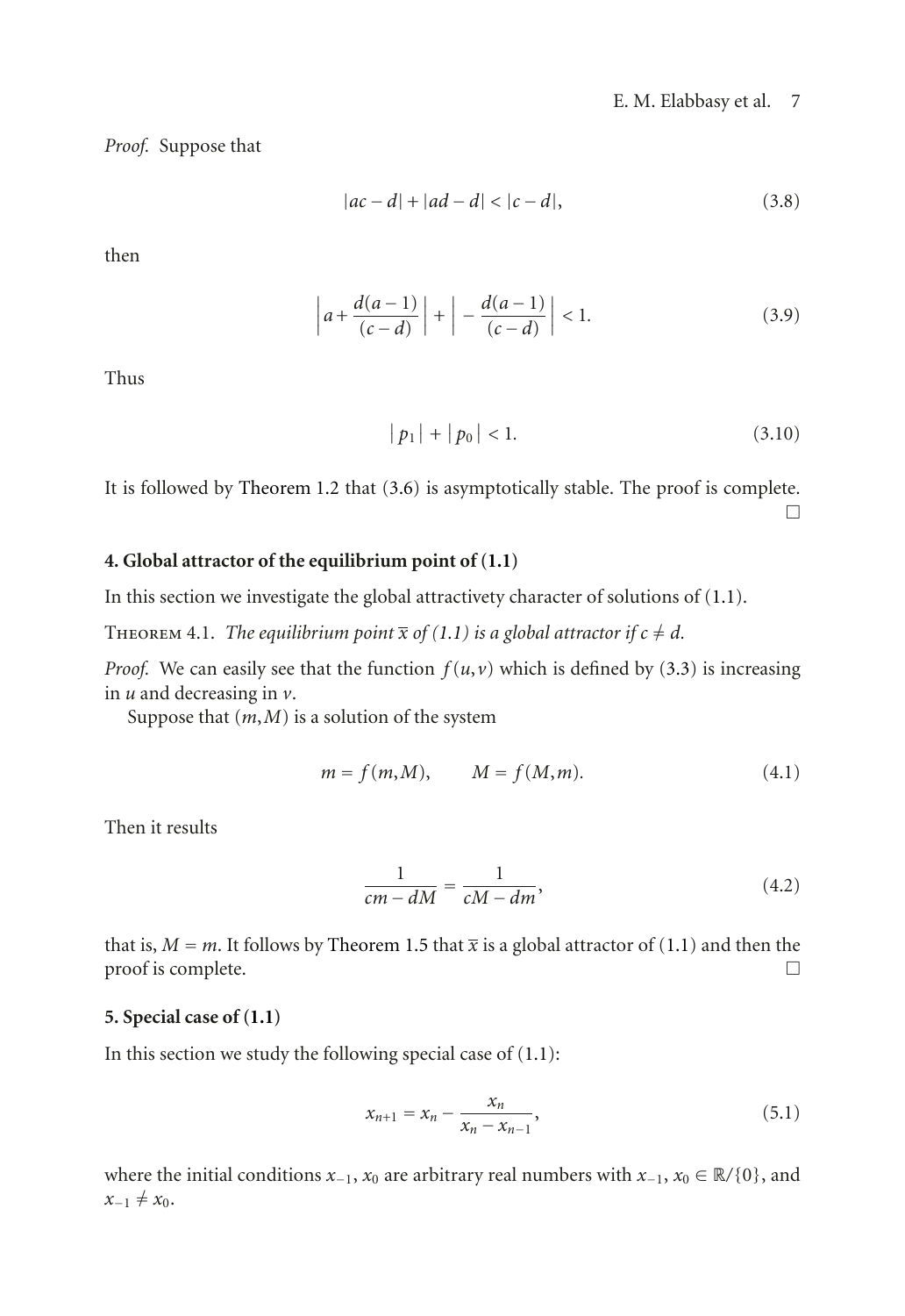*Proof.* Suppose that

$$
|ac - d| + |ad - d| < |c - d|,\tag{3.8}
$$

then

$$
\left| a + \frac{d(a-1)}{(c-d)} \right| + \left| - \frac{d(a-1)}{(c-d)} \right| < 1. \tag{3.9}
$$

Thus

$$
|p_1| + |p_0| < 1. \tag{3.10}
$$

It is followed by [Theorem 1.2](#page-1-3) that [\(3.6\)](#page-5-0) is asymptotically stable. The proof is complete.  $\Box$ 

#### **4. Global attractor of the equilibrium point of [\(1.1\)](#page-0-1)**

In this section we investigate the global attractivety character of solutions of [\(1.1\)](#page-0-1).

THEOREM 4.1. *The equilibrium point*  $\overline{x}$  *of* [\(1.1\)](#page-0-1) *is a global attractor if*  $c \neq d$ *.* 

*Proof.* We can easily see that the function  $f(u, v)$  which is defined by [\(3.3\)](#page-5-1) is increasing in *u* and decreasing in *v*.

Suppose that  $(m, M)$  is a solution of the system

$$
m = f(m, M), \qquad M = f(M, m). \tag{4.1}
$$

Then it results

$$
\frac{1}{cm - dM} = \frac{1}{cM - dm},\tag{4.2}
$$

that is, *M* = *m*. It follows by [Theorem 1.5](#page-2-2) that  $\overline{x}$  is a global attractor of [\(1.1\)](#page-0-1) and then the proof is complete. proof is complete.

#### **5. Special case of [\(1.1\)](#page-0-1)**

In this section we study the following special case of  $(1.1)$ :

<span id="page-6-0"></span>
$$
x_{n+1} = x_n - \frac{x_n}{x_n - x_{n-1}},
$$
\n(5.1)

where the initial conditions *<sup>x</sup>*−1, *<sup>x</sup>*<sup>0</sup> are arbitrary real numbers with *<sup>x</sup>*−1, *<sup>x</sup>*<sup>0</sup> <sup>∈</sup> <sup>R</sup>*/*{0}, and  $x_{-1} \neq x_0$ .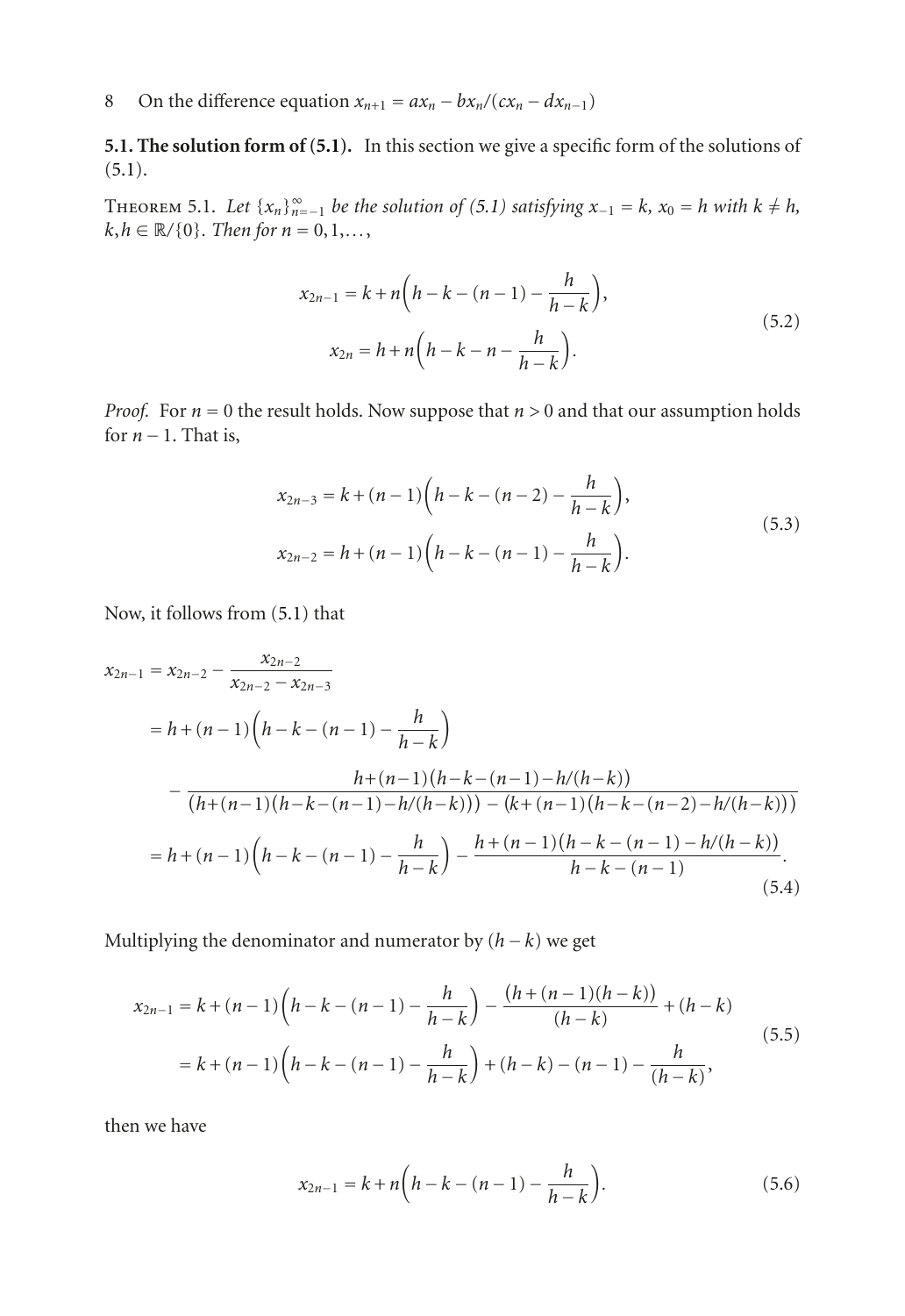**5.1. The solution form of [\(5.1\)](#page-6-0).** In this section we give a specific form of the solutions of  $(5.1).$  $(5.1).$ 

THEOREM 5.1. Let  $\{x_n\}_{n=-1}^{\infty}$  be the solution of [\(5.1\)](#page-6-0) satisfying  $x_{-1} = k$ ,  $x_0 = h$  with  $k \neq h$ ,  $k, h \in \mathbb{R}/\{0\}$ *. Then for*  $n = 0, 1, \ldots$ ,

$$
x_{2n-1} = k + n\left(h - k - (n - 1) - \frac{h}{h - k}\right),
$$
  
\n
$$
x_{2n} = h + n\left(h - k - n - \frac{h}{h - k}\right).
$$
\n(5.2)

*Proof.* For *<sup>n</sup>* <sup>=</sup> 0 the result holds. Now suppose that *n >* 0 and that our assumption holds for  $n-1$ . That is,

$$
x_{2n-3} = k + (n-1)\left(h - k - (n-2) - \frac{h}{h - k}\right),
$$
  
\n
$$
x_{2n-2} = h + (n-1)\left(h - k - (n-1) - \frac{h}{h - k}\right).
$$
\n(5.3)

Now, it follows from [\(5.1\)](#page-6-0) that

$$
x_{2n-1} = x_{2n-2} - \frac{x_{2n-2}}{x_{2n-2} - x_{2n-3}}
$$
  
=  $h + (n-1) \left( h - k - (n-1) - \frac{h}{h-k} \right)$   

$$
- \frac{h + (n-1)(h - k - (n-1) - h/(h-k))}{(h + (n-1)(h - k - (n-1) - h/(h-k))) - (k + (n-1)(h - k - (n-2) - h/(h-k)))}
$$
  
=  $h + (n-1) \left( h - k - (n-1) - \frac{h}{h-k} \right) - \frac{h + (n-1)(h - k - (n-1) - h/(h-k))}{h - k - (n-1)}$ . (5.4)

Multiplying the denominator and numerator by  $(h - k)$  we get

$$
x_{2n-1} = k + (n-1)\left(h - k - (n-1) - \frac{h}{h - k}\right) - \frac{(h + (n-1)(h - k))}{(h - k)} + (h - k)
$$
  
=  $k + (n-1)\left(h - k - (n-1) - \frac{h}{h - k}\right) + (h - k) - (n - 1) - \frac{h}{(h - k)},$  (5.5)

then we have

$$
x_{2n-1} = k + n\left(h - k - (n - 1) - \frac{h}{h - k}\right).
$$
 (5.6)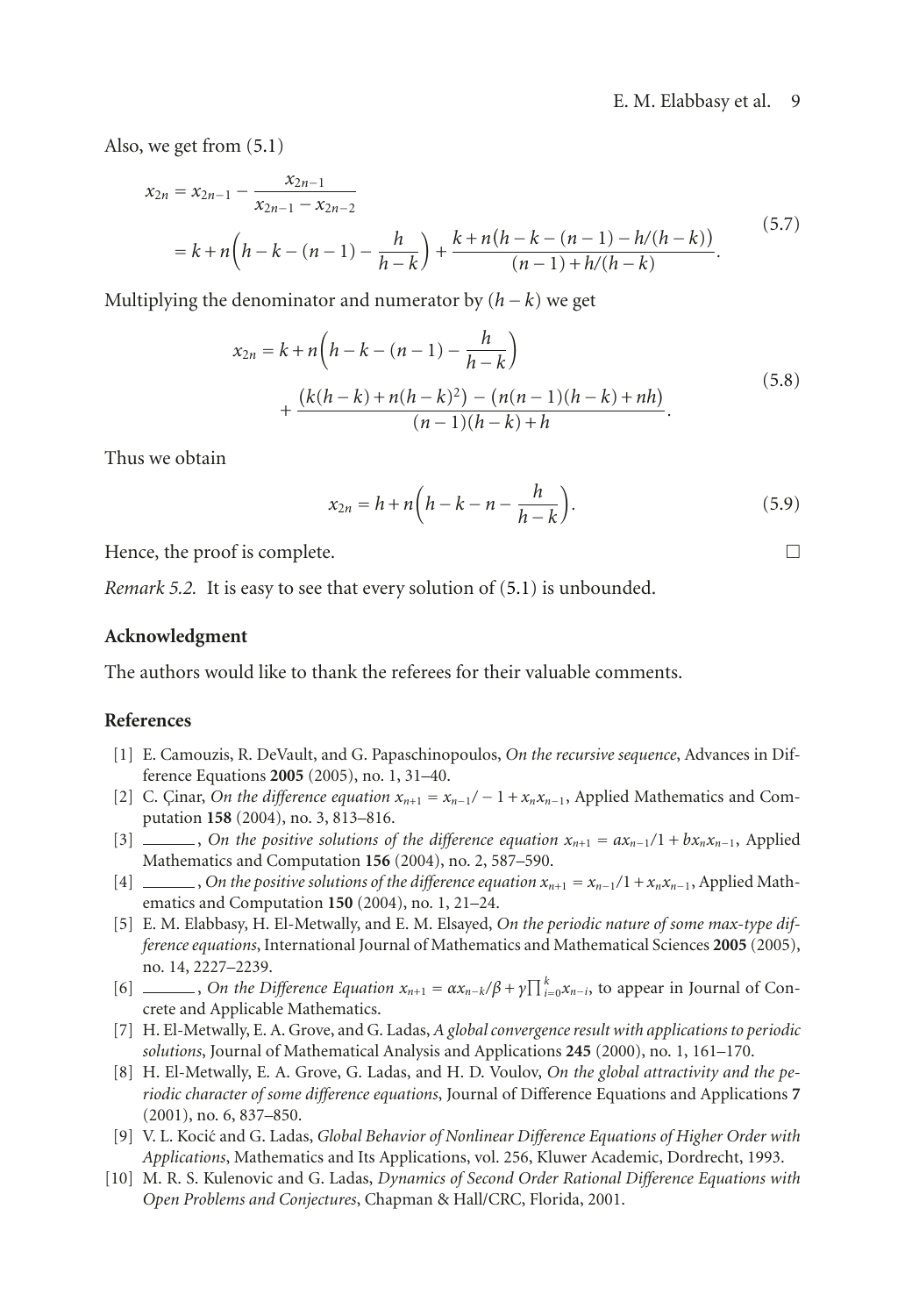#### E. M. Elabbasy et al. 9

Also, we get from [\(5.1\)](#page-6-0)

$$
x_{2n} = x_{2n-1} - \frac{x_{2n-1}}{x_{2n-1} - x_{2n-2}}
$$
  
=  $k + n(h - k - (n - 1) - \frac{h}{h - k}) + \frac{k + n(h - k - (n - 1) - h/(h - k))}{(n - 1) + h/(h - k)}$ . (5.7)

Multiplying the denominator and numerator by  $(h - k)$  we get

$$
x_{2n} = k + n\left(h - k - (n - 1) - \frac{h}{h - k}\right)
$$
  
+ 
$$
\frac{(k(h - k) + n(h - k)^2) - (n(n - 1)(h - k) + nh)}{(n - 1)(h - k) + h}.
$$
 (5.8)

Thus we obtain

$$
x_{2n} = h + n\left(h - k - n - \frac{h}{h - k}\right).
$$
\n<sup>(5.9)</sup>

Hence, the proof is complete.  $\Box$ 

*Remark 5.2.* It is easy to see that every solution of [\(5.1\)](#page-6-0) is unbounded.

#### **Acknowledgment**

The authors would like to thank the referees for their valuable comments.

## <span id="page-8-1"></span><span id="page-8-0"></span>**References**

- [1] E. Camouzis, R. DeVault, and G. Papaschinopoulos, *On the recursive sequence*, Advances in Difference Equations **2005** (2005), no. 1, 31–40.
- [2] C. Çinar, *On the difference equation*  $x_{n+1} = x_{n-1}$ */* − 1 +  $x_n x_{n-1}$ , Applied Mathematics and Computation **158** (2004), no. 3, 813–816.
- [3] , *On the positive solutions of the difference equation*  $x_{n+1} = ax_{n-1}/1 + bx_nx_{n-1}$ , Applied Mathematics and Computation **156** (2004), no. 2, 587–590.
- [4] , *On the positive solutions of the difference equation*  $x_{n+1} = x_{n-1}/1 + x_n x_{n-1}$ , Applied Mathematics and Computation **150** (2004), no. 1, 21–24.
- [5] E. M. Elabbasy, H. El-Metwally, and E. M. Elsayed, *On the periodic nature of some max-type difference equations*, International Journal of Mathematics and Mathematical Sciences **2005** (2005), no. 14, 2227–2239.
- [6] , *On the Difference Equation*  $x_{n+1} = \alpha x_{n-k}/\beta + \gamma \prod_{i=0}^{k} x_{n-i}$ , to appear in Journal of Concrete and Applicable Mathematics.
- [7] H. El-Metwally, E. A. Grove, and G. Ladas, *A global convergence result with applications to periodic solutions*, Journal of Mathematical Analysis and Applications **245** (2000), no. 1, 161–170.
- [8] H. El-Metwally, E. A. Grove, G. Ladas, and H. D. Voulov, *On the global attractivity and the periodic character of some difference equations*, Journal of Difference Equations and Applications **7** (2001), no. 6, 837–850.
- <span id="page-8-2"></span>[9] V. L. Kocic and G. Ladas, ´ *Global Behavior of Nonlinear Difference Equations of Higher Order with Applications*, Mathematics and Its Applications, vol. 256, Kluwer Academic, Dordrecht, 1993.
- <span id="page-8-3"></span>[10] M. R. S. Kulenovic and G. Ladas, *Dynamics of Second Order Rational Difference Equations with Open Problems and Conjectures*, Chapman & Hall/CRC, Florida, 2001.